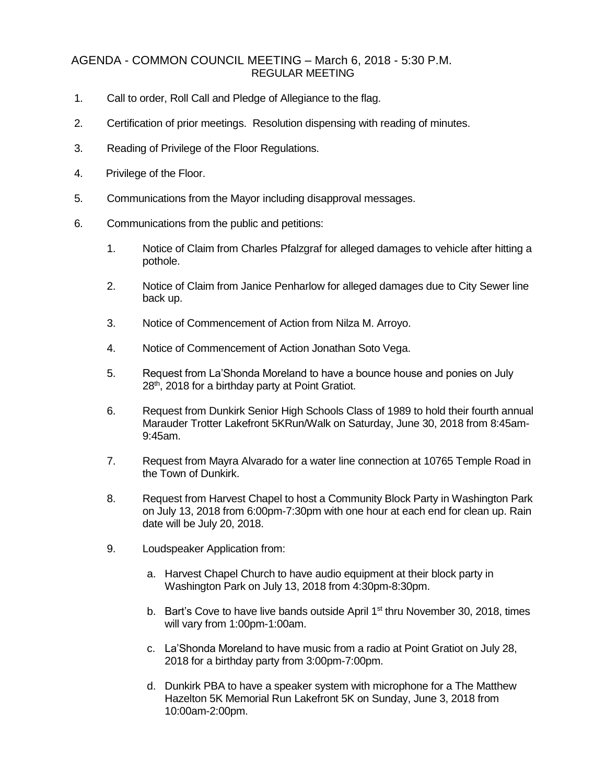## AGENDA - COMMON COUNCIL MEETING – March 6, 2018 - 5:30 P.M. REGULAR MEETING

- 1. Call to order, Roll Call and Pledge of Allegiance to the flag.
- 2. Certification of prior meetings. Resolution dispensing with reading of minutes.
- 3. Reading of Privilege of the Floor Regulations.
- 4. Privilege of the Floor.
- 5. Communications from the Mayor including disapproval messages.
- 6. Communications from the public and petitions:
	- 1. Notice of Claim from Charles Pfalzgraf for alleged damages to vehicle after hitting a pothole.
	- 2. Notice of Claim from Janice Penharlow for alleged damages due to City Sewer line back up.
	- 3. Notice of Commencement of Action from Nilza M. Arroyo.
	- 4. Notice of Commencement of Action Jonathan Soto Vega.
	- 5. Request from La'Shonda Moreland to have a bounce house and ponies on July 28<sup>th</sup>, 2018 for a birthday party at Point Gratiot.
	- 6. Request from Dunkirk Senior High Schools Class of 1989 to hold their fourth annual Marauder Trotter Lakefront 5KRun/Walk on Saturday, June 30, 2018 from 8:45am-9:45am.
	- 7. Request from Mayra Alvarado for a water line connection at 10765 Temple Road in the Town of Dunkirk.
	- 8. Request from Harvest Chapel to host a Community Block Party in Washington Park on July 13, 2018 from 6:00pm-7:30pm with one hour at each end for clean up. Rain date will be July 20, 2018.
	- 9. Loudspeaker Application from:
		- a. Harvest Chapel Church to have audio equipment at their block party in Washington Park on July 13, 2018 from 4:30pm-8:30pm.
		- b. Bart's Cove to have live bands outside April  $1<sup>st</sup>$  thru November 30, 2018, times will vary from 1:00pm-1:00am.
		- c. La'Shonda Moreland to have music from a radio at Point Gratiot on July 28, 2018 for a birthday party from 3:00pm-7:00pm.
		- d. Dunkirk PBA to have a speaker system with microphone for a The Matthew Hazelton 5K Memorial Run Lakefront 5K on Sunday, June 3, 2018 from 10:00am-2:00pm.